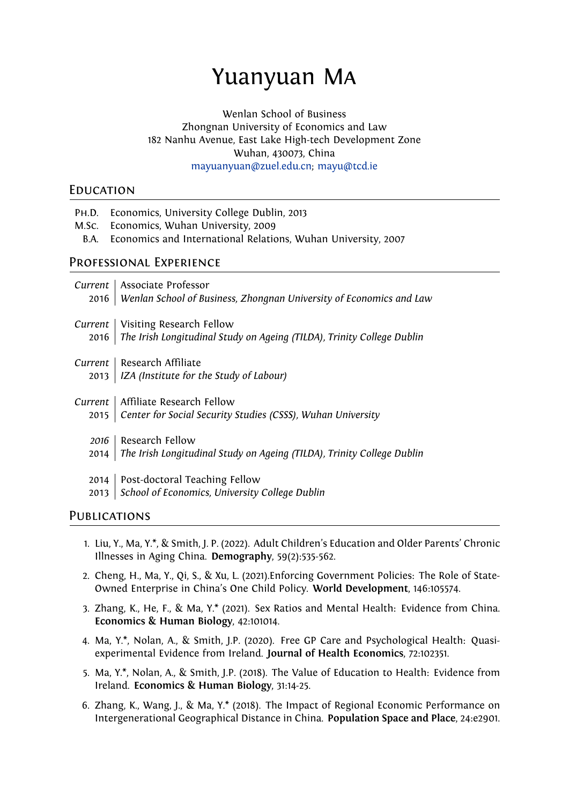# Yuanyuan Ma

Wenlan School of Business Zhongnan University of Economics and Law 182 Nanhu Avenue, East Lake High-tech Development Zone Wuhan, 430073, China mayuanyuan@zuel.edu.cn; mayu@tcd.ie

## **EDUCATION**

- Ph.D. Economics, Univ[ersity College Dublin, 2013](mailto:mayuanyuan@zuel.edu.cn)
- M.Sc. Economics, Wuhan University, 2009
	- B.A. Economics and International Relations, Wuhan University, 2007

### Professional Experience

| Current        | Associate Professor                                                    |
|----------------|------------------------------------------------------------------------|
| 2016           | Wenlan School of Business, Zhongnan University of Economics and Law    |
| Current        | Visiting Research Fellow                                               |
| 2016           | The Irish Longitudinal Study on Ageing (TILDA), Trinity College Dublin |
| Current        | $\mathop{\parallel}$ Research Affiliate                                |
| 2013           | IZA (Institute for the Study of Labour)                                |
| $Current \mid$ | Affiliate Research Fellow                                              |
| 2015           | Center for Social Security Studies (CSSS), Wuhan University            |
| 2016           | Research Fellow                                                        |
| 2014           | The Irish Longitudinal Study on Ageing (TILDA), Trinity College Dublin |
| 2014           | Post-doctoral Teaching Fellow                                          |
|                |                                                                        |

2013 *School of Economics, University College Dublin*

## **PUBLICATIONS**

- 1. Liu, Y., Ma, Y.\*, & Smith, J. P. (2022). Adult Children's Education and Older Parents' Chronic Illnesses in Aging China. **Demography**, 59(2):535-562.
- 2. Cheng, H., Ma, Y., Qi, S., & Xu, L. (2021).Enforcing Government Policies: The Role of State-Owned Enterprise in China's One Child Policy. **[World Development](https://doi.org/10.1215/00703370-9766973)**, 146:105574.
- 3. [Zhang, K., He, F., & Ma,](https://doi.org/10.1215/00703370-9766973) Y.\* (2021). Sex Ratios and Mental Health: Evidence from China. **Economics & Human Biology**, 42:1010[14.](https://doi.org/10.1016/j.worlddev.2021.105574)
- 4. [Ma, Y.\\*, Nolan, A., & Smith, J.P. \(2020\).](https://doi.org/10.1016/j.worlddev.2021.105574) Free GP Care and Psychological Health: Quasiexperimental Evidence from Ireland. **[Journal of Health Economics](https://doi.org/10.1016/j.ehb.2021.101014)**, 72:102351.
- 5. Ma, Y.\*, Nolan, A., & Smith, J.P. (2018). The Value of Education to Health: Evidence from Ireland. **Economics & Human Biology**, [31:14-25.](https://doi.org/10.1016/j.jhealeco.2020.102351)
- 6. [Zhang, K., Wang, J., & Ma, Y.\\* \(2018\).](https://doi.org/10.1016/j.jhealeco.2020.102351) The Impact of Regional Economic Performance on Intergenerational Geographical Distance in China. **[Population Space and Place](https://doi.org/10.1016/j.ehb.2018.07.006)**, 24:e2901.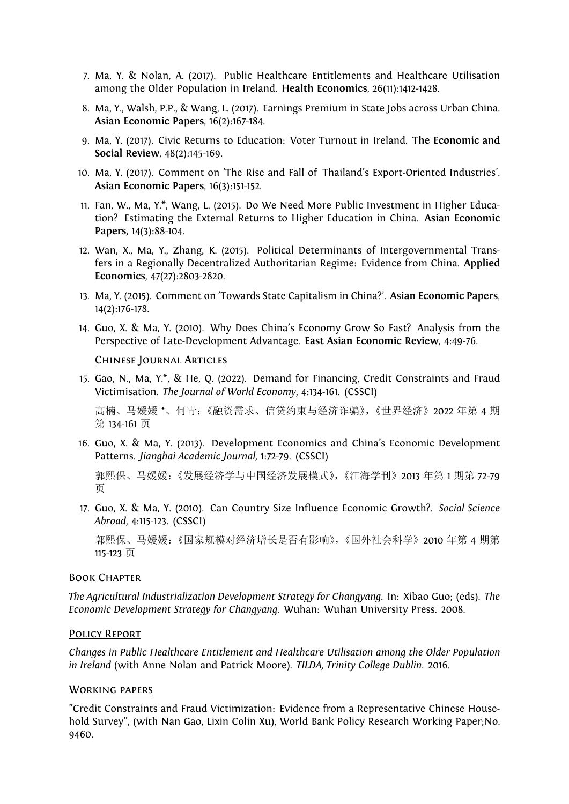- 7. Ma, Y. & Nolan, A. (2017). Public Healthcare Entitlements and Healthcare Utilisation among the Older Population in Ireland. **Health Economics**, 26(11):1412-1428.
- 8. Ma, Y., Walsh, P.P., & Wang, L. (2017). Earnings Premium in State Jobs across Urban China. **Asian Economic Papers**, 16([2\):167-184.](http://onlinelibrary.wiley.com/doi/10.1002/hec.3429/full)
- 9. Ma, Y. (2017). [Civic Returns to Educatio](http://onlinelibrary.wiley.com/doi/10.1002/hec.3429/full)n: Voter Turnout in Ireland. **The Economic and Social Review**, 48(2):145-169.
- 10. Ma, Y. (2017). Comment on 'The Rise and Fall of Thailand's Export-Oriented Industries'. **Asian Economic Papers**[, 16\(3\):151-152.](http://www.esr.ie/article/view/731/158)
- 11. Fan, W., Ma, Y.\*, Wang, L. (2015). Do We Need More Public Investment in Higher Education? Estima[ting the External Returns to Higher Education in China.](http://www.mitpressjournals.org/doi/full/10.1162/asep_a_00557) **Asian Economic Papers**, 14(3):88-104.
- 12. Wan, X., Ma, Y., Zhang, K. (2015). [Political Determinants of Intergovernmental Trans](http://www.mitpressjournals.org/doi/abs/10.1162/ASEP_a_00380?journalCode=asep#.V_pOneh9600)[fers in a Regionally Decentralized Authoritarian Regime: Evidence fro](http://www.mitpressjournals.org/doi/abs/10.1162/ASEP_a_00380?journalCode=asep#.V_pOneh9600)m China. **Applied Economics**, 47(27):2803-2820.
- 13. Ma, Y. (2015). Comment on 'Toward[s State Capitalism in China?'.](http://www.tandfonline.com/doi/abs/10.1080/00036846.2015.1008768?journalCode=raec20) **Asian Economic Papers**, [14\(2\):176-178.](http://www.tandfonline.com/doi/abs/10.1080/00036846.2015.1008768?journalCode=raec20)
- 14. Guo, X. & Ma, Y. (2010). Why Does China's Economy Grow So Fast? Analysis from the Perspective [of Late-Development Advantage.](http://www.mitpressjournals.org/doi/abs/10.1162/ASEP_a_00361?journalCode=asep#.V_pSfuh9600) **East Asian Economic Review**, 4:49-76.

#### Chinese Journal Articles

15. Gao, N., Ma, Y.\*, & He, Q. (2022). [Demand for Financing, Credit Constraints and Fraud](http://ci.nii.ac.jp/naid/40018745591/) Victimisation. *[The Journal of World Economy](http://ci.nii.ac.jp/naid/40018745591/)*, 4:134-161. (CSSCI)

高楠、马媛媛 \*、何青:《融资需求、信贷约束与经济诈骗》,《世界经济》2022 年第 4 期 第 134-161 页

16. [Guo, X. & Ma](http://ejournaliwep.cssn.cn/qkjj/sjjj/sj224/202204/t20220425_5405212.shtml), Y. (2013). Development Economics and China's Economic Development Patterns. *Jianghai Academic Journal*, 1:72-79. (CSSCI)

郭熙保、马媛媛:《发展经济学与中国经济发展模式》,《江海学刊》2013 年第 1 期第 72-79 页

17. [Guo, X. &](http://mall.cnki.net/magazine/Article/JHXK201301013.htm) Ma, Y. (2010). Can Country Size Influence Economic Growth?. *Social Science Abroad*, 4:115-123. (CSSCI)

郭熙保、马媛媛:《国家规模对经济增长是否有影响》,《国外社会科学》2010 年第 4 期第 115-123 页

#### Book Chapter

*The Agricultural Industrialization Development Strategy for Changyang.* In: Xibao Guo; (eds). *The Economic Development Strategy for Changyang*. Wuhan: Wuhan University Press. 2008.

#### Policy Report

*Changes in Public Healthcare Entitlement and Healthcare Utilisation among the Older Population in Ireland* (with Anne Nolan and Patrick Moore). *TILDA, Trinity College Dublin*. 2016.

#### WORKING PAPERS

"Credit Constraints and Fraud Victimization: Evidence from a Representative Chinese Household Survey", (with Nan Gao, Lixin Colin Xu), World Bank Policy Research Working Paper;No. 9460.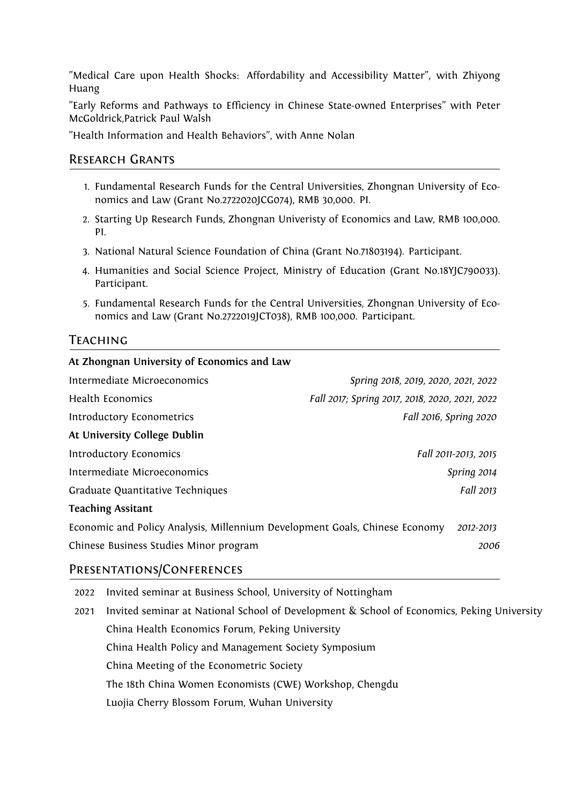"Medical Care upon Health Shocks: Affordability and Accessibility Matter", with Zhiyong Huang

"Early Reforms and Pathways to Efficiency in Chinese State-owned Enterprises" with Peter McGoldrick,Patrick Paul Walsh

"Health Information and Health Behaviors", with Anne Nolan

# Research Grants

- 1. Fundamental Research Funds for the Central Universities, Zhongnan University of Economics and Law (Grant No.2722020JCG074), RMB 30,000. PI.
- 2. Starting Up Research Funds, Zhongnan Univeristy of Economics and Law, RMB 100,000. PI.
- 3. National Natural Science Foundation of China (Grant No.71803194). Participant.
- 4. Humanities and Social Science Project, Ministry of Education (Grant No.18YJC790033). Participant.
- 5. Fundamental Research Funds for the Central Universities, Zhongnan University of Economics and Law (Grant No.2722019JCT038), RMB 100,000. Participant.

## **TEACHING**

| At Zhongnan University of Economics and Law                                 |                                                |  |  |  |
|-----------------------------------------------------------------------------|------------------------------------------------|--|--|--|
| Intermediate Microeconomics                                                 | Spring 2018, 2019, 2020, 2021, 2022            |  |  |  |
| Health Economics                                                            | Fall 2017; Spring 2017, 2018, 2020, 2021, 2022 |  |  |  |
| Introductory Econometrics                                                   | Fall 2016, Spring 2020                         |  |  |  |
| At University College Dublin                                                |                                                |  |  |  |
| Fall 2011-2013, 2015<br>Introductory Economics                              |                                                |  |  |  |
| Intermediate Microeconomics                                                 | Spring 2014                                    |  |  |  |
| Graduate Quantitative Techniques                                            | Fall 2013                                      |  |  |  |
| <b>Teaching Assitant</b>                                                    |                                                |  |  |  |
| Economic and Policy Analysis, Millennium Development Goals, Chinese Economy |                                                |  |  |  |
| Chinese Business Studies Minor program<br>2006                              |                                                |  |  |  |
|                                                                             |                                                |  |  |  |

## Presentations/Conferences

| 2022 | Invited seminar at Business School, University of Nottingham                               |
|------|--------------------------------------------------------------------------------------------|
| 2021 | Invited seminar at National School of Development & School of Economics, Peking University |
|      | China Health Economics Forum, Peking University                                            |
|      | China Health Policy and Management Society Symposium                                       |
|      | China Meeting of the Econometric Society                                                   |
|      | The 18th China Women Economists (CWE) Workshop, Chengdu                                    |
|      | Luojia Cherry Blossom Forum, Wuhan University                                              |
|      |                                                                                            |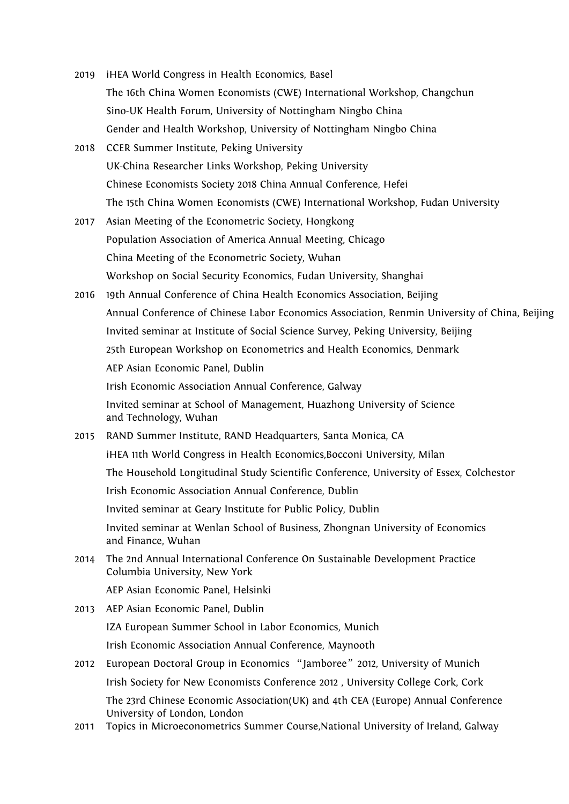- 2019 iHEA World Congress in Health Economics, Basel The 16th China Women Economists (CWE) International Workshop, Changchun Sino-UK Health Forum, University of Nottingham Ningbo China Gender and Health Workshop, University of Nottingham Ningbo China
- 2018 CCER Summer Institute, Peking University UK-China Researcher Links Workshop, Peking University Chinese Economists Society 2018 China Annual Conference, Hefei The 15th China Women Economists (CWE) International Workshop, Fudan University
- 2017 Asian Meeting of the Econometric Society, Hongkong Population Association of America Annual Meeting, Chicago China Meeting of the Econometric Society, Wuhan Workshop on Social Security Economics, Fudan University, Shanghai
- 2016 19th Annual Conference of China Health Economics Association, Beijing Annual Conference of Chinese Labor Economics Association, Renmin University of China, Beijing Invited seminar at Institute of Social Science Survey, Peking University, Beijing 25th European Workshop on Econometrics and Health Economics, Denmark AEP Asian Economic Panel, Dublin Irish Economic Association Annual Conference, Galway Invited seminar at School of Management, Huazhong University of Science and Technology, Wuhan
- 2015 RAND Summer Institute, RAND Headquarters, Santa Monica, CA iHEA 11th World Congress in Health Economics,Bocconi University, Milan The Household Longitudinal Study Scientific Conference, University of Essex, Colchestor Irish Economic Association Annual Conference, Dublin Invited seminar at Geary Institute for Public Policy, Dublin Invited seminar at Wenlan School of Business, Zhongnan University of Economics and Finance, Wuhan
- 2014 The 2nd Annual International Conference On Sustainable Development Practice Columbia University, New York

AEP Asian Economic Panel, Helsinki

2013 AEP Asian Economic Panel, Dublin

IZA European Summer School in Labor Economics, Munich

Irish Economic Association Annual Conference, Maynooth

- 2012 European Doctoral Group in Economics "Jamboree"2012, University of Munich Irish Society for New Economists Conference 2012 , University College Cork, Cork The 23rd Chinese Economic Association(UK) and 4th CEA (Europe) Annual Conference University of London, London
- 2011 Topics in Microeconometrics Summer Course,National University of Ireland, Galway